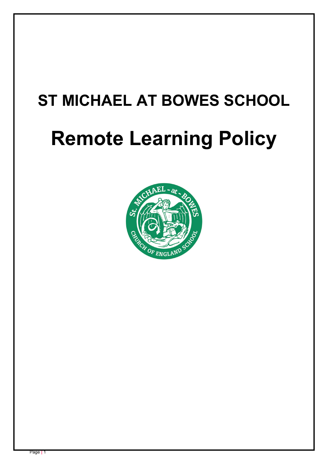# **ST MICHAEL AT BOWES SCHOOL**

# **Remote Learning Policy**

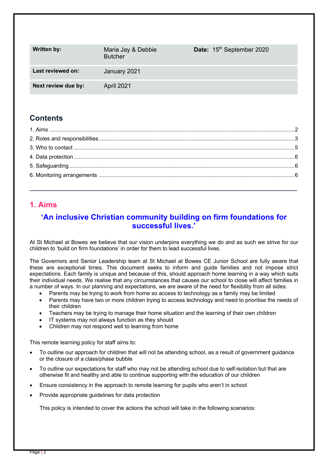| <b>Written by:</b>  | Maria Jay & Debbie<br><b>Butcher</b> | Date: 15 <sup>th</sup> September 2020 |
|---------------------|--------------------------------------|---------------------------------------|
| Last reviewed on:   | January 2021                         |                                       |
| Next review due by: | April 2021                           |                                       |

# **Contents**

# **1. Aims**

# **'An inclusive Christian community building on firm foundations for successful lives.'**

At St Michael at Bowes we believe that our vision underpins everything we do and as such we strive for our children to 'build on firm foundations' in order for them to lead successful lives.

The Governors and Senior Leadership team at St Michael at Bowes CE Junior School are fully aware that these are exceptional times. This document seeks to inform and guide families and not impose strict expectations. Each family is unique and because of this, should approach home learning in a way which suits their individual needs. We realise that any circumstances that causes our school to close will affect families in a number of ways. In our planning and expectations, we are aware of the need for flexibility from all sides:

- Parents may be trying to work from home so access to technology as a family may be limited
- Parents may have two or more children trying to access technology and need to prioritise the needs of their children
- Teachers may be trying to manage their home situation and the learning of their own children
- IT systems may not always function as they should
- Children may not respond well to learning from home

This remote learning policy for staff aims to:

- To outline our approach for children that will not be attending school, as a result of government guidance or the closure of a class/phase bubble
- To outline our expectations for staff who may not be attending school due to self-isolation but that are otherwise fit and healthy and able to continue supporting with the education of our children
- Ensure consistency in the approach to remote learning for pupils who aren't in school
- Provide appropriate guidelines for data protection

This policy is intended to cover the actions the school will take in the following scenarios: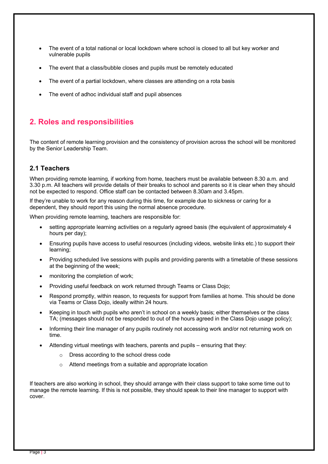- The event of a total national or local lockdown where school is closed to all but key worker and vulnerable pupils
- The event that a class/bubble closes and pupils must be remotely educated
- The event of a partial lockdown, where classes are attending on a rota basis
- The event of adhoc individual staff and pupil absences

# **2. Roles and responsibilities**

The content of remote learning provision and the consistency of provision across the school will be monitored by the Senior Leadership Team.

#### **2.1 Teachers**

When providing remote learning, if working from home, teachers must be available between 8.30 a.m. and 3.30 p.m. All teachers will provide details of their breaks to school and parents so it is clear when they should not be expected to respond. Office staff can be contacted between 8.30am and 3.45pm.

If they're unable to work for any reason during this time, for example due to sickness or caring for a dependent, they should report this using the normal absence procedure.

When providing remote learning, teachers are responsible for:

- setting appropriate learning activities on a regularly agreed basis (the equivalent of approximately 4 hours per day);
- Ensuring pupils have access to useful resources (including videos, website links etc.) to support their learning;
- Providing scheduled live sessions with pupils and providing parents with a timetable of these sessions at the beginning of the week;
- monitoring the completion of work;
- Providing useful feedback on work returned through Teams or Class Dojo;
- Respond promptly, within reason, to requests for support from families at home. This should be done via Teams or Class Dojo, ideally within 24 hours.
- Keeping in touch with pupils who aren't in school on a weekly basis; either themselves or the class TA; (messages should not be responded to out of the hours agreed in the Class Dojo usage policy);
- Informing their line manager of any pupils routinely not accessing work and/or not returning work on time.
- Attending virtual meetings with teachers, parents and pupils ensuring that they:
	- o Dress according to the school dress code
	- o Attend meetings from a suitable and appropriate location

If teachers are also working in school, they should arrange with their class support to take some time out to manage the remote learning. If this is not possible, they should speak to their line manager to support with cover.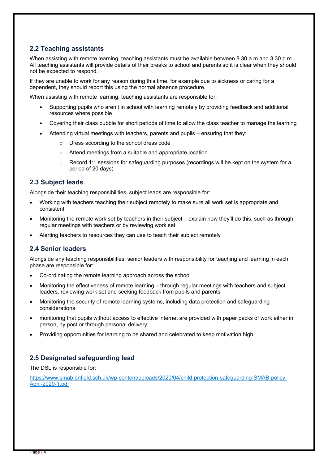#### **2.2 Teaching assistants**

When assisting with remote learning, teaching assistants must be available between 8.30 a.m and 3.30 p.m. All teaching assistants will provide details of their breaks to school and parents so it is clear when they should not be expected to respond.

If they are unable to work for any reason during this time, for example due to sickness or caring for a dependent, they should report this using the normal absence procedure.

When assisting with remote learning, teaching assistants are responsible for:

- Supporting pupils who aren't in school with learning remotely by providing feedback and additional resources where possible
- Covering their class bubble for short periods of time to allow the class teacher to manage the learning
- Attending virtual meetings with teachers, parents and pupils ensuring that they:
	- o Dress according to the school dress code
	- o Attend meetings from a suitable and appropriate location
	- $\circ$  Record 1:1 sessions for safeguarding purposes (recordings will be kept on the system for a period of 20 days)

#### **2.3 Subject leads**

Alongside their teaching responsibilities, subject leads are responsible for:

- Working with teachers teaching their subject remotely to make sure all work set is appropriate and consistent
- Monitoring the remote work set by teachers in their subject explain how they'll do this, such as through regular meetings with teachers or by reviewing work set
- Alerting teachers to resources they can use to teach their subject remotely

#### **2.4 Senior leaders**

Alongside any teaching responsibilities, senior leaders with responsibility for teaching and learning in each phase are responsible for:

- Co-ordinating the remote learning approach across the school
- Monitoring the effectiveness of remote learning through regular meetings with teachers and subject leaders, reviewing work set and seeking feedback from pupils and parents
- Monitoring the security of remote learning systems, including data protection and safeguarding considerations
- monitoring that pupils without access to effective internet are provided with paper packs of work either in person, by post or through personal delivery;
- Providing opportunities for learning to be shared and celebrated to keep motivation high

#### **2.5 Designated safeguarding lead**

The DSL is responsible for:

https://www.smab.enfield.sch.uk/wp-content/uploads/2020/04/child-protection-safeguarding-SMAB-policy-April-2020-1.pdf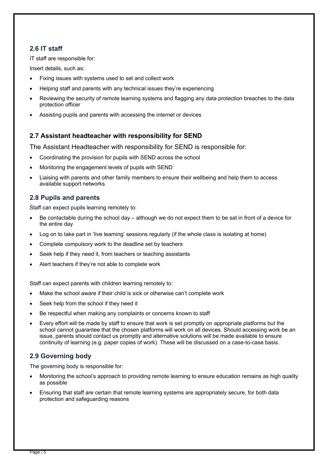#### **2.6 IT staff**

IT staff are responsible for:

Insert details, such as:

- Fixing issues with systems used to set and collect work
- Helping staff and parents with any technical issues they're experiencing
- Reviewing the security of remote learning systems and flagging any data protection breaches to the data protection officer
- Assisting pupils and parents with accessing the internet or devices

#### **2.7 Assistant headteacher with responsibility for SEND**

The Assistant Headteacher with responsibility for SEND is responsible for:

- Coordinating the provision for pupils with SEND across the school
- Monitoring the engagement levels of pupils with SEND
- Liaising with parents and other family members to ensure their wellbeing and help them to access available support networks

#### **2.8 Pupils and parents**

Staff can expect pupils learning remotely to:

- Be contactable during the school day although we do not expect them to be sat in front of a device for the entire day
- Log on to take part in 'live learning' sessions regularly (if the whole class is isolating at home)
- Complete compulsory work to the deadline set by teachers
- Seek help if they need it, from teachers or teaching assistants
- Alert teachers if they're not able to complete work

Staff can expect parents with children learning remotely to:

- Make the school aware if their child is sick or otherwise can't complete work
- Seek help from the school if they need it
- Be respectful when making any complaints or concerns known to staff
- Every effort will be made by staff to ensure that work is set promptly on appropriate platforms but the school cannot guarantee that the chosen platforms will work on all devices. Should accessing work be an issue, parents should contact us promptly and alternative solutions will be made available to ensure continuity of learning (e.g. paper copies of work). These will be discussed on a case-to-case basis.

#### **2.9 Governing body**

The governing body is responsible for:

- Monitoring the school's approach to providing remote learning to ensure education remains as high quality as possible
- Ensuring that staff are certain that remote learning systems are appropriately secure, for both data protection and safeguarding reasons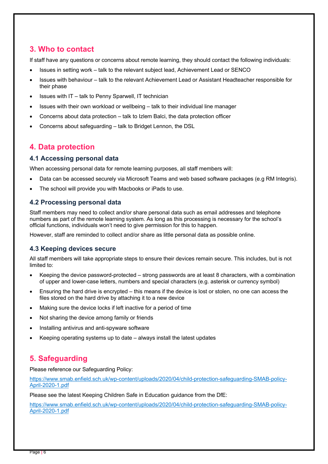# **3. Who to contact**

If staff have any questions or concerns about remote learning, they should contact the following individuals:

- Issues in setting work talk to the relevant subject lead, Achievement Lead or SENCO
- Issues with behaviour talk to the relevant Achievement Lead or Assistant Headteacher responsible for their phase
- Issues with IT talk to Penny Sparwell, IT technician
- Issues with their own workload or wellbeing talk to their individual line manager
- Concerns about data protection talk to Izlem Balci, the data protection officer
- Concerns about safeguarding talk to Bridget Lennon, the DSL

### **4. Data protection**

#### **4.1 Accessing personal data**

When accessing personal data for remote learning purposes, all staff members will:

- Data can be accessed securely via Microsoft Teams and web based software packages (e.g RM Integris).
- The school will provide you with Macbooks or iPads to use.

#### **4.2 Processing personal data**

Staff members may need to collect and/or share personal data such as email addresses and telephone numbers as part of the remote learning system. As long as this processing is necessary for the school's official functions, individuals won't need to give permission for this to happen.

However, staff are reminded to collect and/or share as little personal data as possible online.

#### **4.3 Keeping devices secure**

All staff members will take appropriate steps to ensure their devices remain secure. This includes, but is not limited to:

- Keeping the device password-protected strong passwords are at least 8 characters, with a combination of upper and lower-case letters, numbers and special characters (e.g. asterisk or currency symbol)
- Ensuring the hard drive is encrypted this means if the device is lost or stolen, no one can access the files stored on the hard drive by attaching it to a new device
- Making sure the device locks if left inactive for a period of time
- Not sharing the device among family or friends
- Installing antivirus and anti-spyware software
- Keeping operating systems up to date always install the latest updates

# **5. Safeguarding**

Please reference our Safeguarding Policy:

https://www.smab.enfield.sch.uk/wp-content/uploads/2020/04/child-protection-safeguarding-SMAB-policy-April-2020-1.pdf

Please see the latest Keeping Children Safe in Education guidance from the DfE:

https://www.smab.enfield.sch.uk/wp-content/uploads/2020/04/child-protection-safeguarding-SMAB-policy-April-2020-1.pdf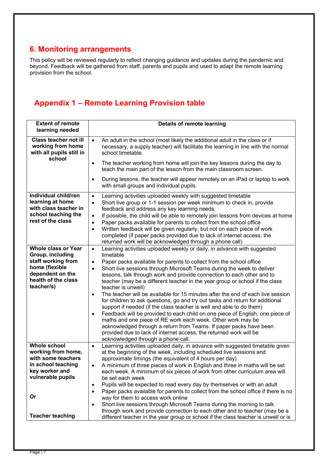# **6. Monitoring arrangements**

This policy will be reviewed regularly to reflect changing guidance and updates during the pandemic and beyond. Feedback will be gathered from staff, parents and pupils and used to adapt the remote learning provision from the school.

# **Appendix 1 – Remote Learning Provision table**

| <b>Extent of remote</b><br>learning needed                                                                                                      | <b>Details of remote learning</b>                                                                                                                                                                                                                                                                                                                                                                                                                                                                                                                                                                                                                                                                                                                                                                                                                                                                                                                                                                                                                                    |  |
|-------------------------------------------------------------------------------------------------------------------------------------------------|----------------------------------------------------------------------------------------------------------------------------------------------------------------------------------------------------------------------------------------------------------------------------------------------------------------------------------------------------------------------------------------------------------------------------------------------------------------------------------------------------------------------------------------------------------------------------------------------------------------------------------------------------------------------------------------------------------------------------------------------------------------------------------------------------------------------------------------------------------------------------------------------------------------------------------------------------------------------------------------------------------------------------------------------------------------------|--|
| <b>Class teacher not ill</b><br>working from home<br>with all pupils still in                                                                   | An adult in the school (most likely the additional adult in the class or if<br>$\bullet$<br>necessary, a supply teacher) will facilitate the learning in line with the normal<br>school timetable.                                                                                                                                                                                                                                                                                                                                                                                                                                                                                                                                                                                                                                                                                                                                                                                                                                                                   |  |
| school                                                                                                                                          | The teacher working from home will join the key lessons during the day to<br>$\bullet$<br>teach the main part of the lesson from the main classroom screen.                                                                                                                                                                                                                                                                                                                                                                                                                                                                                                                                                                                                                                                                                                                                                                                                                                                                                                          |  |
|                                                                                                                                                 | During lessons, the teacher will appear remotely on an iPad or laptop to work<br>$\bullet$<br>with small groups and individual pupils.                                                                                                                                                                                                                                                                                                                                                                                                                                                                                                                                                                                                                                                                                                                                                                                                                                                                                                                               |  |
| Individual child/ren<br>learning at home<br>with class teacher in<br>school teaching the<br>rest of the class                                   | Learning activities uploaded weekly with suggested timetable<br>$\bullet$<br>Short live group or 1-1 session per week minimum to check in, provide<br>$\bullet$<br>feedback and address any key learning needs<br>If possible, the child will be able to remotely join lessons from devices at home<br>$\bullet$<br>Paper packs available for parents to collect from the school office<br>$\bullet$<br>Written feedback will be given regularly, but not on each piece of work<br>$\bullet$<br>completed (if paper packs provided due to lack of internet access, the<br>returned work will be acknowledged through a phone call)                                                                                                                                                                                                                                                                                                                                                                                                                                   |  |
| <b>Whole class or Year</b><br>Group, including<br>staff working from<br>home (flexible<br>dependent on the<br>health of the class<br>teacher/s) | Learning activities uploaded weekly or daily, in advance with suggested<br>$\bullet$<br>timetable<br>Paper packs available for parents to collect from the school office<br>$\bullet$<br>Short live sessions through Microsoft Teams during the week to deliver<br>$\bullet$<br>lessons, talk through work and provide connection to each other and to<br>teacher (may be a different teacher in the year group or school if the class<br>teacher is unwell)<br>The teacher will be available for 15 minutes after the end of each live session<br>$\bullet$<br>for children to ask questions, go and try out tasks and return for additional<br>support if needed (if the class teacher is well and able to do them)<br>Feedback will be provided to each child on one piece of English, one piece of<br>$\bullet$<br>maths and one piece of RE work each week. Other work may be<br>acknowledged through a return from Teams. If paper packs have been<br>provided due to lack of internet access, the returned work will be<br>acknowledged through a phone call. |  |
| <b>Whole school</b><br>working from home,<br>with some teachers<br>in school teaching<br>key worker and<br>vulnerable pupils<br>Or              | Learning activities uploaded daily, in advance with suggested timetable given<br>$\bullet$<br>at the beginning of the week, including scheduled live sessions and<br>approximate timings (the equivalent of 4 hours per day)<br>A minimum of three pieces of work in English and three in maths will be set<br>each week. A minimum of six pieces of work from other curriculum area will<br>be set each week<br>Pupils will be expected to read every day by themselves or with an adult<br>$\bullet$<br>Paper packs available for parents to collect from the school office if there is no<br>$\bullet$<br>way for them to access work online<br>Short live sessions through Microsoft Teams during the morning to talk<br>$\bullet$                                                                                                                                                                                                                                                                                                                               |  |
| <b>Teacher teaching</b>                                                                                                                         | through work and provide connection to each other and to teacher (may be a<br>different teacher in the year group or school if the class teacher is unwell or is                                                                                                                                                                                                                                                                                                                                                                                                                                                                                                                                                                                                                                                                                                                                                                                                                                                                                                     |  |